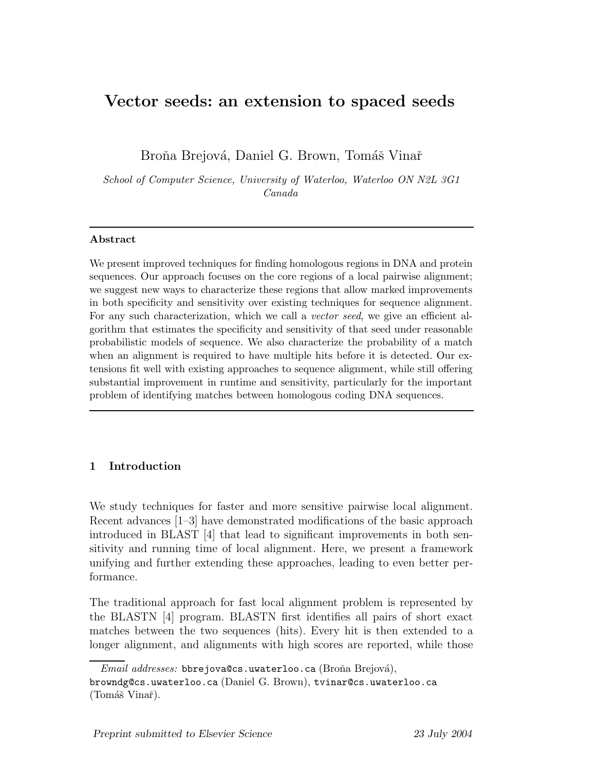# Vector seeds: an extension to spaced seeds

Broňa Brejová, Daniel G. Brown, Tomáš Vinař

School of Computer Science, University of Waterloo, Waterloo ON N2L 3G1 Canada

### Abstract

We present improved techniques for finding homologous regions in DNA and protein sequences. Our approach focuses on the core regions of a local pairwise alignment; we suggest new ways to characterize these regions that allow marked improvements in both specificity and sensitivity over existing techniques for sequence alignment. For any such characterization, which we call a *vector seed*, we give an efficient algorithm that estimates the specificity and sensitivity of that seed under reasonable probabilistic models of sequence. We also characterize the probability of a match when an alignment is required to have multiple hits before it is detected. Our extensions fit well with existing approaches to sequence alignment, while still offering substantial improvement in runtime and sensitivity, particularly for the important problem of identifying matches between homologous coding DNA sequences.

# 1 Introduction

We study techniques for faster and more sensitive pairwise local alignment. Recent advances [1–3] have demonstrated modifications of the basic approach introduced in BLAST [4] that lead to significant improvements in both sensitivity and running time of local alignment. Here, we present a framework unifying and further extending these approaches, leading to even better performance.

The traditional approach for fast local alignment problem is represented by the BLASTN [4] program. BLASTN first identifies all pairs of short exact matches between the two sequences (hits). Every hit is then extended to a longer alignment, and alignments with high scores are reported, while those

 $Email \; addresses: \text{ bbrejova@cs.}$ uwaterloo.ca (Broña Brejová), browndg@cs.uwaterloo.ca (Daniel G. Brown), tvinar@cs.uwaterloo.ca  $(Tomáš Vinař).$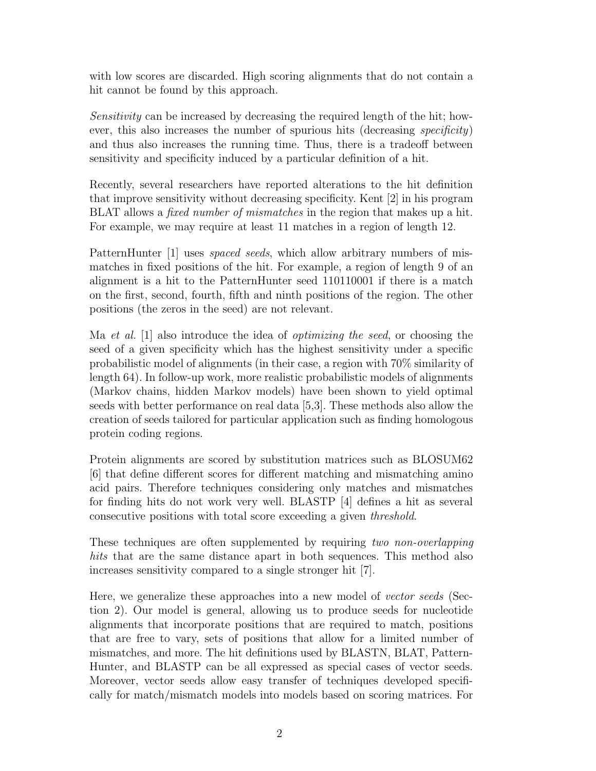with low scores are discarded. High scoring alignments that do not contain a hit cannot be found by this approach.

Sensitivity can be increased by decreasing the required length of the hit; however, this also increases the number of spurious hits (decreasing specificity) and thus also increases the running time. Thus, there is a tradeoff between sensitivity and specificity induced by a particular definition of a hit.

Recently, several researchers have reported alterations to the hit definition that improve sensitivity without decreasing specificity. Kent [2] in his program BLAT allows a *fixed number of mismatches* in the region that makes up a hit. For example, we may require at least 11 matches in a region of length 12.

PatternHunter [1] uses *spaced seeds*, which allow arbitrary numbers of mismatches in fixed positions of the hit. For example, a region of length 9 of an alignment is a hit to the PatternHunter seed 110110001 if there is a match on the first, second, fourth, fifth and ninth positions of the region. The other positions (the zeros in the seed) are not relevant.

Ma et al.  $|1|$  also introduce the idea of *optimizing the seed*, or choosing the seed of a given specificity which has the highest sensitivity under a specific probabilistic model of alignments (in their case, a region with 70% similarity of length 64). In follow-up work, more realistic probabilistic models of alignments (Markov chains, hidden Markov models) have been shown to yield optimal seeds with better performance on real data [5,3]. These methods also allow the creation of seeds tailored for particular application such as finding homologous protein coding regions.

Protein alignments are scored by substitution matrices such as BLOSUM62 [6] that define different scores for different matching and mismatching amino acid pairs. Therefore techniques considering only matches and mismatches for finding hits do not work very well. BLASTP [4] defines a hit as several consecutive positions with total score exceeding a given threshold.

These techniques are often supplemented by requiring two non-overlapping hits that are the same distance apart in both sequences. This method also increases sensitivity compared to a single stronger hit [7].

Here, we generalize these approaches into a new model of vector seeds (Section 2). Our model is general, allowing us to produce seeds for nucleotide alignments that incorporate positions that are required to match, positions that are free to vary, sets of positions that allow for a limited number of mismatches, and more. The hit definitions used by BLASTN, BLAT, Pattern-Hunter, and BLASTP can be all expressed as special cases of vector seeds. Moreover, vector seeds allow easy transfer of techniques developed specifically for match/mismatch models into models based on scoring matrices. For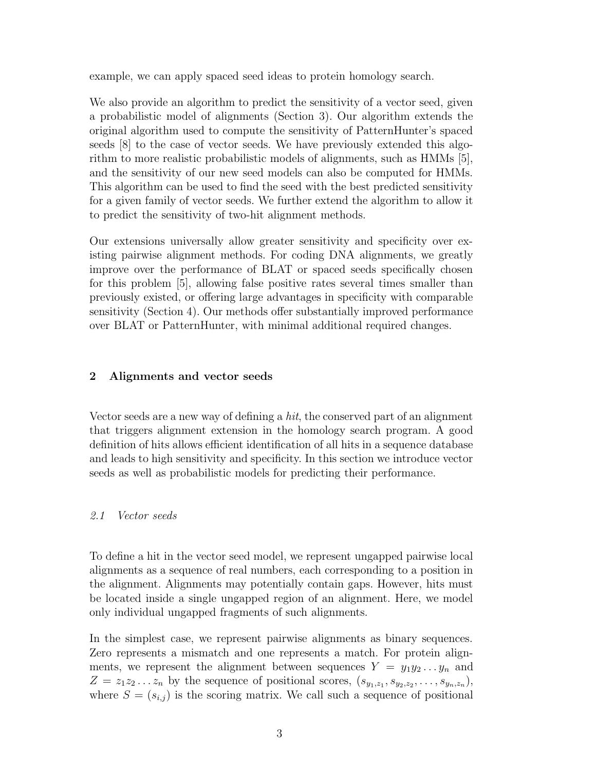example, we can apply spaced seed ideas to protein homology search.

We also provide an algorithm to predict the sensitivity of a vector seed, given a probabilistic model of alignments (Section 3). Our algorithm extends the original algorithm used to compute the sensitivity of PatternHunter's spaced seeds [8] to the case of vector seeds. We have previously extended this algorithm to more realistic probabilistic models of alignments, such as HMMs [5], and the sensitivity of our new seed models can also be computed for HMMs. This algorithm can be used to find the seed with the best predicted sensitivity for a given family of vector seeds. We further extend the algorithm to allow it to predict the sensitivity of two-hit alignment methods.

Our extensions universally allow greater sensitivity and specificity over existing pairwise alignment methods. For coding DNA alignments, we greatly improve over the performance of BLAT or spaced seeds specifically chosen for this problem [5], allowing false positive rates several times smaller than previously existed, or offering large advantages in specificity with comparable sensitivity (Section 4). Our methods offer substantially improved performance over BLAT or PatternHunter, with minimal additional required changes.

### 2 Alignments and vector seeds

Vector seeds are a new way of defining a hit, the conserved part of an alignment that triggers alignment extension in the homology search program. A good definition of hits allows efficient identification of all hits in a sequence database and leads to high sensitivity and specificity. In this section we introduce vector seeds as well as probabilistic models for predicting their performance.

#### 2.1 Vector seeds

To define a hit in the vector seed model, we represent ungapped pairwise local alignments as a sequence of real numbers, each corresponding to a position in the alignment. Alignments may potentially contain gaps. However, hits must be located inside a single ungapped region of an alignment. Here, we model only individual ungapped fragments of such alignments.

In the simplest case, we represent pairwise alignments as binary sequences. Zero represents a mismatch and one represents a match. For protein alignments, we represent the alignment between sequences  $Y = y_1 y_2 ... y_n$  and  $Z = z_1 z_2 \dots z_n$  by the sequence of positional scores,  $(s_{y_1,z_1}, s_{y_2,z_2}, \dots, s_{y_n,z_n}),$ where  $S = (s_{i,j})$  is the scoring matrix. We call such a sequence of positional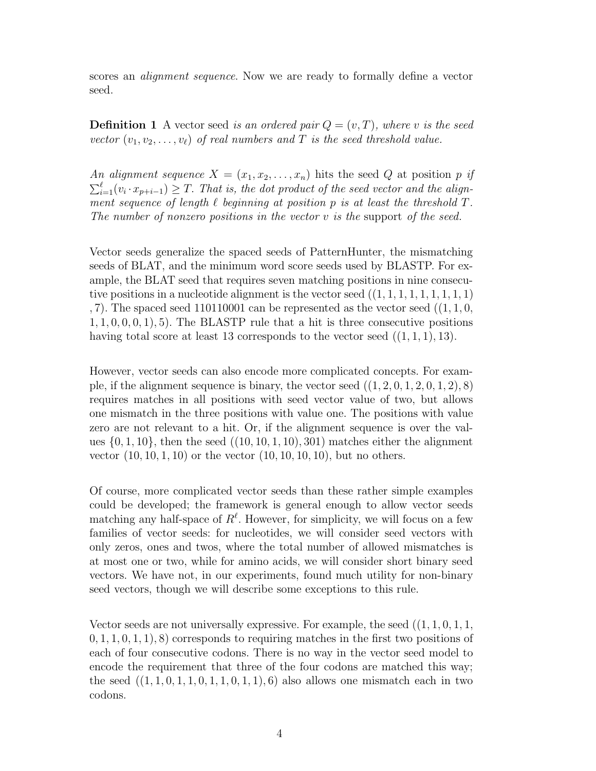scores an *alignment sequence*. Now we are ready to formally define a vector seed.

**Definition 1** A vector seed is an ordered pair  $Q = (v, T)$ , where v is the seed vector  $(v_1, v_2, \ldots, v_\ell)$  of real numbers and T is the seed threshold value.

An alignment sequence  $X = (x_1, x_2, \ldots, x_n)$  hits the seed Q at position p if  $\sum_{i=1}^{\ell} (v_i \cdot x_{p+i-1}) \geq T$ . That is, the dot product of the seed vector and the alignment sequence of length  $\ell$  beginning at position p is at least the threshold  $T$ . The number of nonzero positions in the vector  $v$  is the support of the seed.

Vector seeds generalize the spaced seeds of PatternHunter, the mismatching seeds of BLAT, and the minimum word score seeds used by BLASTP. For example, the BLAT seed that requires seven matching positions in nine consecutive positions in a nucleotide alignment is the vector seed  $((1, 1, 1, 1, 1, 1, 1, 1, 1))$ , 7). The spaced seed  $110110001$  can be represented as the vector seed  $((1, 1, 0, 1))$  $1, 1, 0, 0, 0, 1, 5$ . The BLASTP rule that a hit is three consecutive positions having total score at least 13 corresponds to the vector seed  $((1, 1, 1), 13)$ .

However, vector seeds can also encode more complicated concepts. For example, if the alignment sequence is binary, the vector seed  $((1, 2, 0, 1, 2, 0, 1, 2), 8)$ requires matches in all positions with seed vector value of two, but allows one mismatch in the three positions with value one. The positions with value zero are not relevant to a hit. Or, if the alignment sequence is over the values  $\{0, 1, 10\}$ , then the seed  $((10, 10, 1, 10), 301)$  matches either the alignment vector  $(10, 10, 1, 10)$  or the vector  $(10, 10, 10, 10)$ , but no others.

Of course, more complicated vector seeds than these rather simple examples could be developed; the framework is general enough to allow vector seeds matching any half-space of  $R^{\ell}$ . However, for simplicity, we will focus on a few families of vector seeds: for nucleotides, we will consider seed vectors with only zeros, ones and twos, where the total number of allowed mismatches is at most one or two, while for amino acids, we will consider short binary seed vectors. We have not, in our experiments, found much utility for non-binary seed vectors, though we will describe some exceptions to this rule.

Vector seeds are not universally expressive. For example, the seed  $((1, 1, 0, 1, 1,$  $(0, 1, 1, 0, 1, 1),$  8) corresponds to requiring matches in the first two positions of each of four consecutive codons. There is no way in the vector seed model to encode the requirement that three of the four codons are matched this way; the seed  $((1, 1, 0, 1, 1, 0, 1, 1, 0, 1, 1), 6)$  also allows one mismatch each in two codons.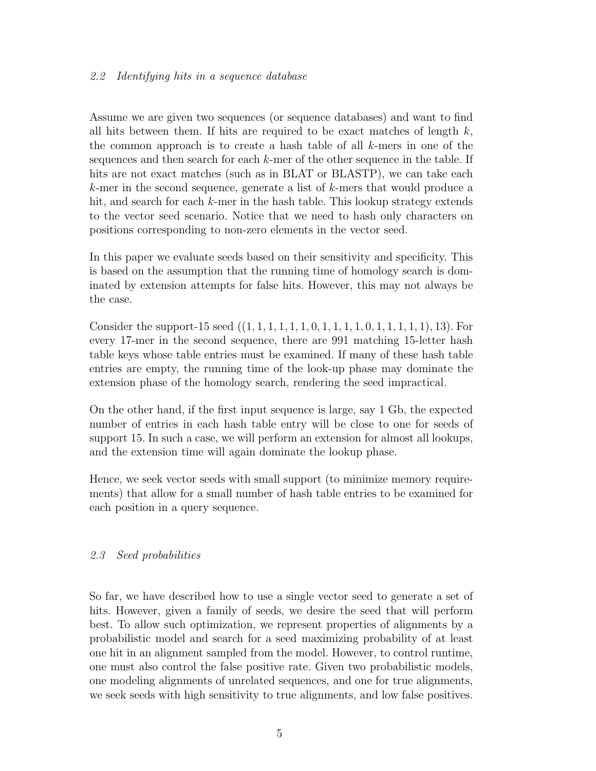## 2.2 Identifying hits in a sequence database

Assume we are given two sequences (or sequence databases) and want to find all hits between them. If hits are required to be exact matches of length  $k$ , the common approach is to create a hash table of all  $k$ -mers in one of the sequences and then search for each  $k$ -mer of the other sequence in the table. If hits are not exact matches (such as in BLAT or BLASTP), we can take each k-mer in the second sequence, generate a list of k-mers that would produce a hit, and search for each k-mer in the hash table. This lookup strategy extends to the vector seed scenario. Notice that we need to hash only characters on positions corresponding to non-zero elements in the vector seed.

In this paper we evaluate seeds based on their sensitivity and specificity. This is based on the assumption that the running time of homology search is dominated by extension attempts for false hits. However, this may not always be the case.

Consider the support-15 seed  $((1, 1, 1, 1, 1, 1, 1, 0, 1, 1, 1, 1, 0, 1, 1, 1, 1, 1, 1, 1)$ , 13). For every 17-mer in the second sequence, there are 991 matching 15-letter hash table keys whose table entries must be examined. If many of these hash table entries are empty, the running time of the look-up phase may dominate the extension phase of the homology search, rendering the seed impractical.

On the other hand, if the first input sequence is large, say 1 Gb, the expected number of entries in each hash table entry will be close to one for seeds of support 15. In such a case, we will perform an extension for almost all lookups, and the extension time will again dominate the lookup phase.

Hence, we seek vector seeds with small support (to minimize memory requirements) that allow for a small number of hash table entries to be examined for each position in a query sequence.

# 2.3 Seed probabilities

So far, we have described how to use a single vector seed to generate a set of hits. However, given a family of seeds, we desire the seed that will perform best. To allow such optimization, we represent properties of alignments by a probabilistic model and search for a seed maximizing probability of at least one hit in an alignment sampled from the model. However, to control runtime, one must also control the false positive rate. Given two probabilistic models, one modeling alignments of unrelated sequences, and one for true alignments, we seek seeds with high sensitivity to true alignments, and low false positives.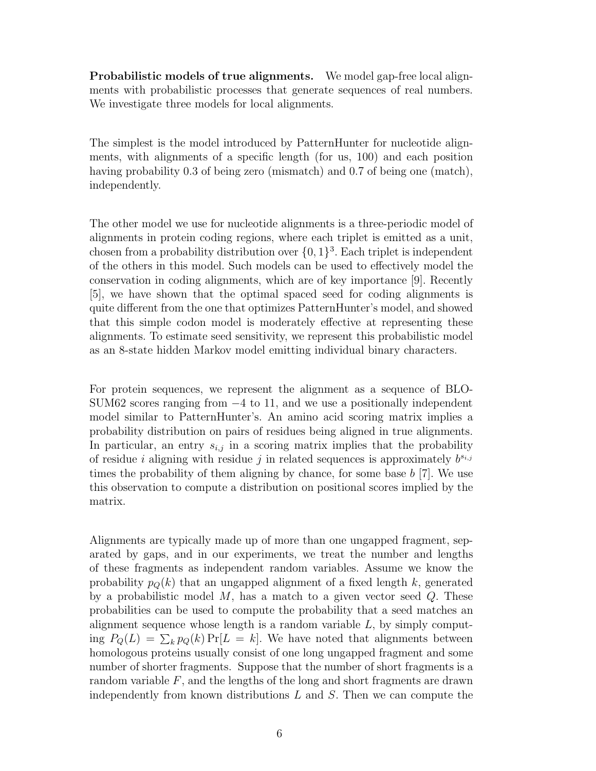Probabilistic models of true alignments. We model gap-free local alignments with probabilistic processes that generate sequences of real numbers. We investigate three models for local alignments.

The simplest is the model introduced by PatternHunter for nucleotide alignments, with alignments of a specific length (for us, 100) and each position having probability 0.3 of being zero (mismatch) and 0.7 of being one (match), independently.

The other model we use for nucleotide alignments is a three-periodic model of alignments in protein coding regions, where each triplet is emitted as a unit, chosen from a probability distribution over  $\{0, 1\}^3$ . Each triplet is independent of the others in this model. Such models can be used to effectively model the conservation in coding alignments, which are of key importance [9]. Recently [5], we have shown that the optimal spaced seed for coding alignments is quite different from the one that optimizes PatternHunter's model, and showed that this simple codon model is moderately effective at representing these alignments. To estimate seed sensitivity, we represent this probabilistic model as an 8-state hidden Markov model emitting individual binary characters.

For protein sequences, we represent the alignment as a sequence of BLO-SUM62 scores ranging from  $-4$  to 11, and we use a positionally independent model similar to PatternHunter's. An amino acid scoring matrix implies a probability distribution on pairs of residues being aligned in true alignments. In particular, an entry  $s_{i,j}$  in a scoring matrix implies that the probability of residue i aligning with residue j in related sequences is approximately  $b^{s_{i,j}}$ times the probability of them aligning by chance, for some base b [7]. We use this observation to compute a distribution on positional scores implied by the matrix.

Alignments are typically made up of more than one ungapped fragment, separated by gaps, and in our experiments, we treat the number and lengths of these fragments as independent random variables. Assume we know the probability  $p_{\mathcal{O}}(k)$  that an ungapped alignment of a fixed length k, generated by a probabilistic model  $M$ , has a match to a given vector seed  $Q$ . These probabilities can be used to compute the probability that a seed matches an alignment sequence whose length is a random variable  $L$ , by simply computing  $P_Q(L) = \sum_k p_Q(k) \Pr[L = k]$ . We have noted that alignments between homologous proteins usually consist of one long ungapped fragment and some number of shorter fragments. Suppose that the number of short fragments is a random variable  $F$ , and the lengths of the long and short fragments are drawn independently from known distributions  $L$  and  $S$ . Then we can compute the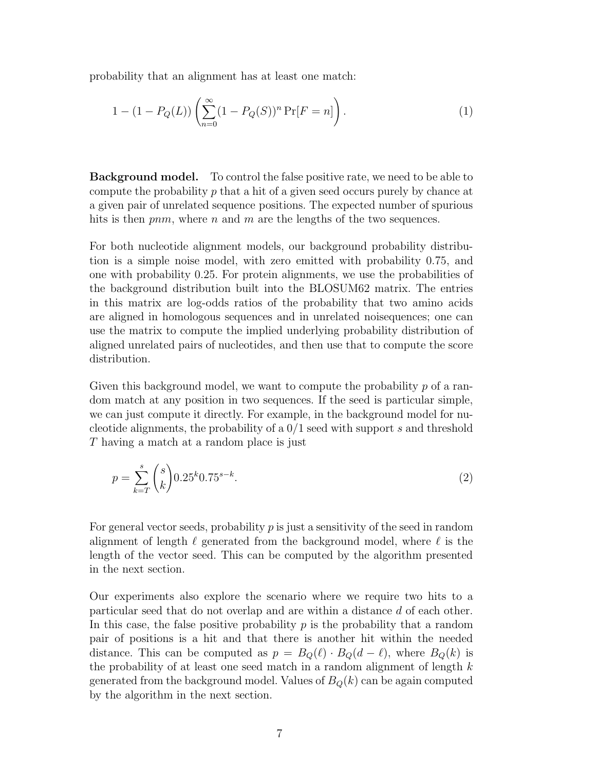probability that an alignment has at least one match:

$$
1 - (1 - P_Q(L)) \left( \sum_{n=0}^{\infty} (1 - P_Q(S))^n \Pr[F = n] \right).
$$
 (1)

Background model. To control the false positive rate, we need to be able to compute the probability  $p$  that a hit of a given seed occurs purely by chance at a given pair of unrelated sequence positions. The expected number of spurious hits is then  $pnm$ , where n and m are the lengths of the two sequences.

For both nucleotide alignment models, our background probability distribution is a simple noise model, with zero emitted with probability 0.75, and one with probability 0.25. For protein alignments, we use the probabilities of the background distribution built into the BLOSUM62 matrix. The entries in this matrix are log-odds ratios of the probability that two amino acids are aligned in homologous sequences and in unrelated noisequences; one can use the matrix to compute the implied underlying probability distribution of aligned unrelated pairs of nucleotides, and then use that to compute the score distribution.

Given this background model, we want to compute the probability  $p$  of a random match at any position in two sequences. If the seed is particular simple, we can just compute it directly. For example, in the background model for nucleotide alignments, the probability of a 0/1 seed with support s and threshold T having a match at a random place is just

$$
p = \sum_{k=T}^{s} {s \choose k} 0.25^k 0.75^{s-k}.
$$
 (2)

For general vector seeds, probability  $p$  is just a sensitivity of the seed in random alignment of length  $\ell$  generated from the background model, where  $\ell$  is the length of the vector seed. This can be computed by the algorithm presented in the next section.

Our experiments also explore the scenario where we require two hits to a particular seed that do not overlap and are within a distance d of each other. In this case, the false positive probability  $p$  is the probability that a random pair of positions is a hit and that there is another hit within the needed distance. This can be computed as  $p = B<sub>Q</sub>(\ell) \cdot B<sub>Q</sub>(d - \ell)$ , where  $B<sub>Q</sub>(k)$  is the probability of at least one seed match in a random alignment of length  $k$ generated from the background model. Values of  $B_Q(k)$  can be again computed by the algorithm in the next section.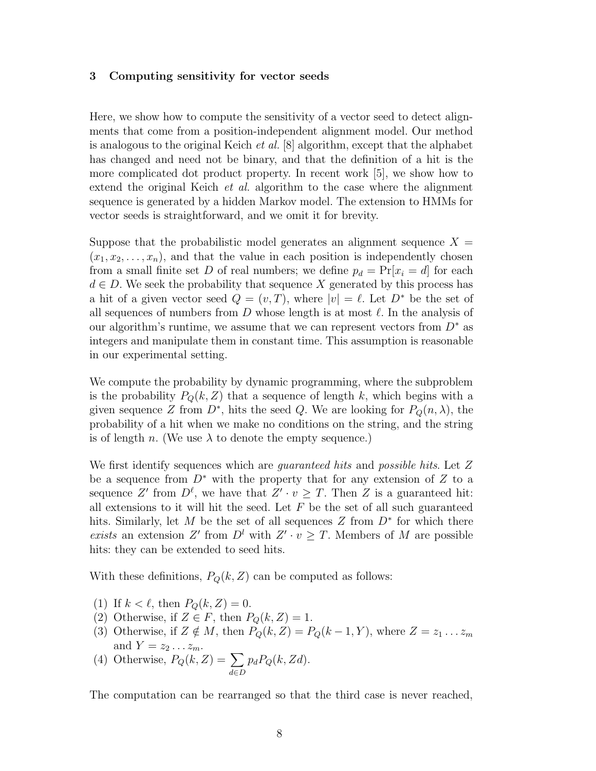#### 3 Computing sensitivity for vector seeds

Here, we show how to compute the sensitivity of a vector seed to detect alignments that come from a position-independent alignment model. Our method is analogous to the original Keich *et al.* [8] algorithm, except that the alphabet has changed and need not be binary, and that the definition of a hit is the more complicated dot product property. In recent work [5], we show how to extend the original Keich *et al.* algorithm to the case where the alignment sequence is generated by a hidden Markov model. The extension to HMMs for vector seeds is straightforward, and we omit it for brevity.

Suppose that the probabilistic model generates an alignment sequence  $X =$  $(x_1, x_2, \ldots, x_n)$ , and that the value in each position is independently chosen from a small finite set D of real numbers; we define  $p_d = \Pr[x_i = d]$  for each  $d \in D$ . We seek the probability that sequence X generated by this process has a hit of a given vector seed  $Q = (v, T)$ , where  $|v| = \ell$ . Let  $D^*$  be the set of all sequences of numbers from  $D$  whose length is at most  $\ell$ . In the analysis of our algorithm's runtime, we assume that we can represent vectors from  $D^*$  as integers and manipulate them in constant time. This assumption is reasonable in our experimental setting.

We compute the probability by dynamic programming, where the subproblem is the probability  $P_Q(k, Z)$  that a sequence of length k, which begins with a given sequence Z from  $D^*$ , hits the seed Q. We are looking for  $P_Q(n, \lambda)$ , the probability of a hit when we make no conditions on the string, and the string is of length n. (We use  $\lambda$  to denote the empty sequence.)

We first identify sequences which are *guaranteed hits* and *possible hits*. Let Z be a sequence from  $D^*$  with the property that for any extension of Z to a sequence Z' from  $D^{\ell}$ , we have that  $Z' \cdot v \geq T$ . Then Z is a guaranteed hit: all extensions to it will hit the seed. Let  $F$  be the set of all such guaranteed hits. Similarly, let M be the set of all sequences  $Z$  from  $D^*$  for which there exists an extension Z' from  $D^l$  with  $Z' \cdot v \geq T$ . Members of M are possible hits: they can be extended to seed hits.

With these definitions,  $P_Q(k, Z)$  can be computed as follows:

- (1) If  $k < \ell$ , then  $P_Q(k, Z) = 0$ .
- (2) Otherwise, if  $Z \in F$ , then  $P_Q(k, Z) = 1$ .
- (3) Otherwise, if  $Z \notin M$ , then  $P_Q(k, Z) = P_Q(k 1, Y)$ , where  $Z = z_1 \dots z_m$ and  $Y = z_2 \dots z_m$ .
- (4) Otherwise,  $P_Q(k, Z) = \sum$ d∈D  $p_dP_Q(k, Zd)$ .

The computation can be rearranged so that the third case is never reached,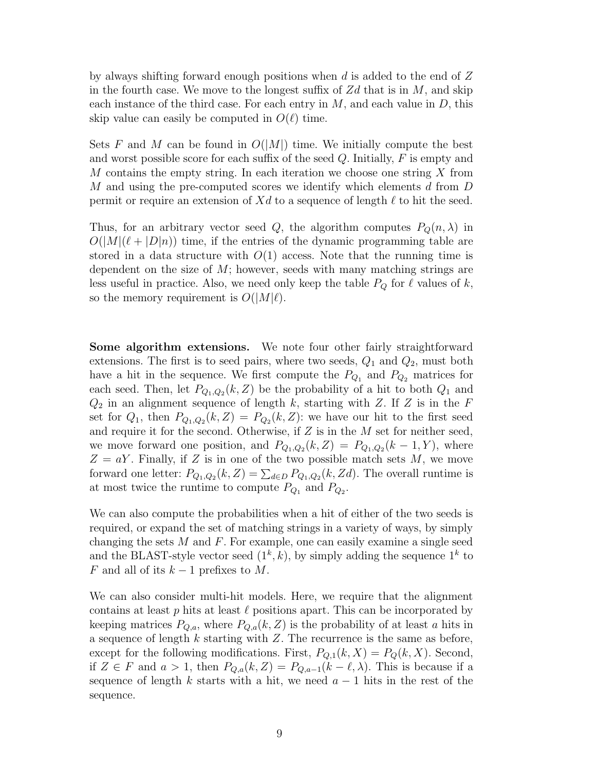by always shifting forward enough positions when d is added to the end of  $Z$ in the fourth case. We move to the longest suffix of  $Zd$  that is in M, and skip each instance of the third case. For each entry in  $M$ , and each value in  $D$ , this skip value can easily be computed in  $O(\ell)$  time.

Sets F and M can be found in  $O(|M|)$  time. We initially compute the best and worst possible score for each suffix of the seed  $Q$ . Initially,  $F$  is empty and M contains the empty string. In each iteration we choose one string X from M and using the pre-computed scores we identify which elements d from D permit or require an extension of Xd to a sequence of length  $\ell$  to hit the seed.

Thus, for an arbitrary vector seed Q, the algorithm computes  $P_Q(n, \lambda)$  in  $O(|M|(\ell + |D|n))$  time, if the entries of the dynamic programming table are stored in a data structure with  $O(1)$  access. Note that the running time is dependent on the size of  $M$ ; however, seeds with many matching strings are less useful in practice. Also, we need only keep the table  $P_Q$  for  $\ell$  values of k, so the memory requirement is  $O(|M|\ell)$ .

Some algorithm extensions. We note four other fairly straightforward extensions. The first is to seed pairs, where two seeds,  $Q_1$  and  $Q_2$ , must both have a hit in the sequence. We first compute the  $P_{Q_1}$  and  $P_{Q_2}$  matrices for each seed. Then, let  $P_{Q_1,Q_2}(k, Z)$  be the probability of a hit to both  $Q_1$  and  $Q_2$  in an alignment sequence of length k, starting with Z. If Z is in the F set for  $Q_1$ , then  $P_{Q_1,Q_2}(k, Z) = P_{Q_2}(k, Z)$ : we have our hit to the first seed and require it for the second. Otherwise, if  $Z$  is in the  $M$  set for neither seed, we move forward one position, and  $P_{Q_1,Q_2}(k, Z) = P_{Q_1,Q_2}(k-1, Y)$ , where  $Z = aY$ . Finally, if Z is in one of the two possible match sets M, we move forward one letter:  $P_{Q_1,Q_2}(k, Z) = \sum_{d \in D} P_{Q_1,Q_2}(k, Zd)$ . The overall runtime is at most twice the runtime to compute  $P_{Q_1}$  and  $P_{Q_2}$ .

We can also compute the probabilities when a hit of either of the two seeds is required, or expand the set of matching strings in a variety of ways, by simply changing the sets  $M$  and  $F$ . For example, one can easily examine a single seed and the BLAST-style vector seed  $(1^k, k)$ , by simply adding the sequence  $1^k$  to F and all of its  $k-1$  prefixes to M.

We can also consider multi-hit models. Here, we require that the alignment contains at least  $p$  hits at least  $\ell$  positions apart. This can be incorporated by keeping matrices  $P_{Q,a}$ , where  $P_{Q,a}(k, Z)$  is the probability of at least a hits in a sequence of length  $k$  starting with  $Z$ . The recurrence is the same as before, except for the following modifications. First,  $P_{Q,1}(k, X) = P_Q(k, X)$ . Second, if  $Z \in F$  and  $a > 1$ , then  $P_{Q,a}(k, Z) = P_{Q,a-1}(k - \ell, \lambda)$ . This is because if a sequence of length k starts with a hit, we need  $a - 1$  hits in the rest of the sequence.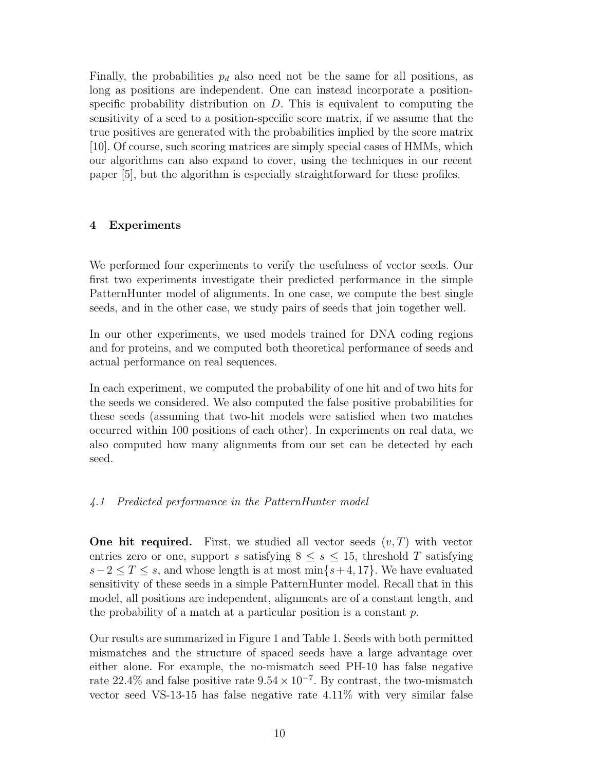Finally, the probabilities  $p_d$  also need not be the same for all positions, as long as positions are independent. One can instead incorporate a positionspecific probability distribution on  $D$ . This is equivalent to computing the sensitivity of a seed to a position-specific score matrix, if we assume that the true positives are generated with the probabilities implied by the score matrix [10]. Of course, such scoring matrices are simply special cases of HMMs, which our algorithms can also expand to cover, using the techniques in our recent paper [5], but the algorithm is especially straightforward for these profiles.

## 4 Experiments

We performed four experiments to verify the usefulness of vector seeds. Our first two experiments investigate their predicted performance in the simple PatternHunter model of alignments. In one case, we compute the best single seeds, and in the other case, we study pairs of seeds that join together well.

In our other experiments, we used models trained for DNA coding regions and for proteins, and we computed both theoretical performance of seeds and actual performance on real sequences.

In each experiment, we computed the probability of one hit and of two hits for the seeds we considered. We also computed the false positive probabilities for these seeds (assuming that two-hit models were satisfied when two matches occurred within 100 positions of each other). In experiments on real data, we also computed how many alignments from our set can be detected by each seed.

## 4.1 Predicted performance in the PatternHunter model

**One hit required.** First, we studied all vector seeds  $(v, T)$  with vector entries zero or one, support s satisfying  $8 \leq s \leq 15$ , threshold T satisfying  $s-2 \leq T \leq s$ , and whose length is at most min $\{s+4, 17\}$ . We have evaluated sensitivity of these seeds in a simple PatternHunter model. Recall that in this model, all positions are independent, alignments are of a constant length, and the probability of a match at a particular position is a constant  $p$ .

Our results are summarized in Figure 1 and Table 1. Seeds with both permitted mismatches and the structure of spaced seeds have a large advantage over either alone. For example, the no-mismatch seed PH-10 has false negative rate 22.4% and false positive rate  $9.54 \times 10^{-7}$ . By contrast, the two-mismatch vector seed VS-13-15 has false negative rate 4.11% with very similar false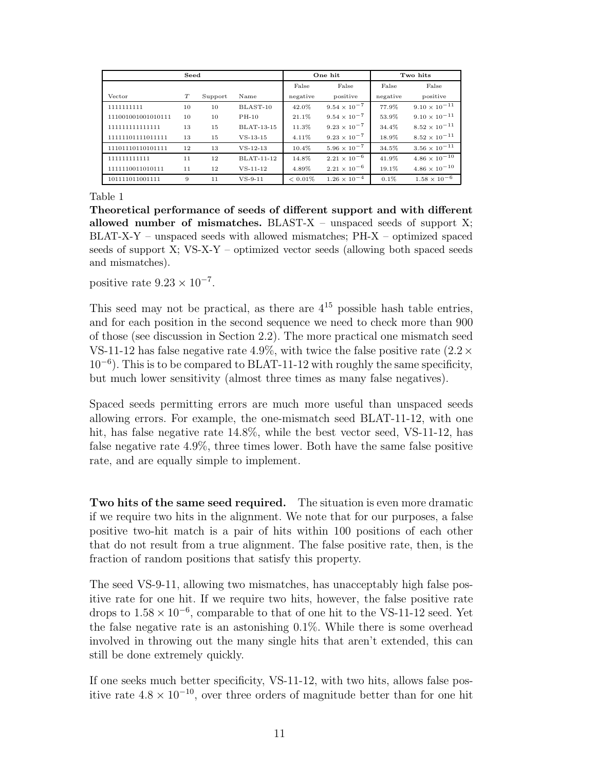| Seed               |    |         |                   | One hit    |                       | Two hits |                        |
|--------------------|----|---------|-------------------|------------|-----------------------|----------|------------------------|
|                    |    |         |                   | False      | False                 | False    | False                  |
| Vector             | T  | Support | Name              | negative   | positive              | negative | positive               |
| 1111111111         | 10 | 10      | BLAST-10          | 42.0%      | $9.54 \times 10^{-7}$ | 77.9%    | $9.10 \times 10^{-11}$ |
| 111001001001010111 | 10 | 10      | $PH-10$           | 21.1%      | $9.54 \times 10^{-7}$ | 53.9%    | $9.10 \times 10^{-11}$ |
| 111111111111111    | 13 | 15      | <b>BLAT-13-15</b> | 11.3%      | $9.23 \times 10^{-7}$ | 34.4%    | $8.52 \times 10^{-11}$ |
| 11111101111011111  | 13 | 15      | $VS-13-15$        | 4.11%      | $9.23 \times 10^{-7}$ | 18.9%    | $8.52 \times 10^{-11}$ |
| 11101110110101111  | 12 | 13      | $VS - 12 - 13$    | 10.4%      | $5.96 \times 10^{-7}$ | 34.5%    | $3.56 \times 10^{-11}$ |
| 111111111111       | 11 | 12      | BLAT-11-12        | 14.8%      | $2.21 \times 10^{-6}$ | 41.9%    | $4.86 \times 10^{-10}$ |
| 1111110011010111   | 11 | 12      | $VS-11-12$        | 4.89%      | $2.21 \times 10^{-6}$ | 19.1%    | $4.86\times10^{-10}$   |
| 101111011001111    | 9  | 11      | $VS-9-11$         | $< 0.01\%$ | $1.26 \times 10^{-4}$ | 0.1%     | $1.58 \times 10^{-6}$  |

Theoretical performance of seeds of different support and with different allowed number of mismatches.  $BLAST-X$  – unspaced seeds of support X; BLAT-X-Y – unspaced seeds with allowed mismatches; PH-X – optimized spaced seeds of support X; VS-X-Y – optimized vector seeds (allowing both spaced seeds and mismatches).

positive rate  $9.23 \times 10^{-7}$ .

This seed may not be practical, as there are  $4^{15}$  possible hash table entries, and for each position in the second sequence we need to check more than 900 of those (see discussion in Section 2.2). The more practical one mismatch seed VS-11-12 has false negative rate 4.9%, with twice the false positive rate  $(2.2 \times$ 10<sup>−</sup><sup>6</sup> ). This is to be compared to BLAT-11-12 with roughly the same specificity, but much lower sensitivity (almost three times as many false negatives).

Spaced seeds permitting errors are much more useful than unspaced seeds allowing errors. For example, the one-mismatch seed BLAT-11-12, with one hit, has false negative rate 14.8%, while the best vector seed, VS-11-12, has false negative rate 4.9%, three times lower. Both have the same false positive rate, and are equally simple to implement.

Two hits of the same seed required. The situation is even more dramatic if we require two hits in the alignment. We note that for our purposes, a false positive two-hit match is a pair of hits within 100 positions of each other that do not result from a true alignment. The false positive rate, then, is the fraction of random positions that satisfy this property.

The seed VS-9-11, allowing two mismatches, has unacceptably high false positive rate for one hit. If we require two hits, however, the false positive rate drops to  $1.58 \times 10^{-6}$ , comparable to that of one hit to the VS-11-12 seed. Yet the false negative rate is an astonishing 0.1%. While there is some overhead involved in throwing out the many single hits that aren't extended, this can still be done extremely quickly.

If one seeks much better specificity, VS-11-12, with two hits, allows false positive rate  $4.8 \times 10^{-10}$ , over three orders of magnitude better than for one hit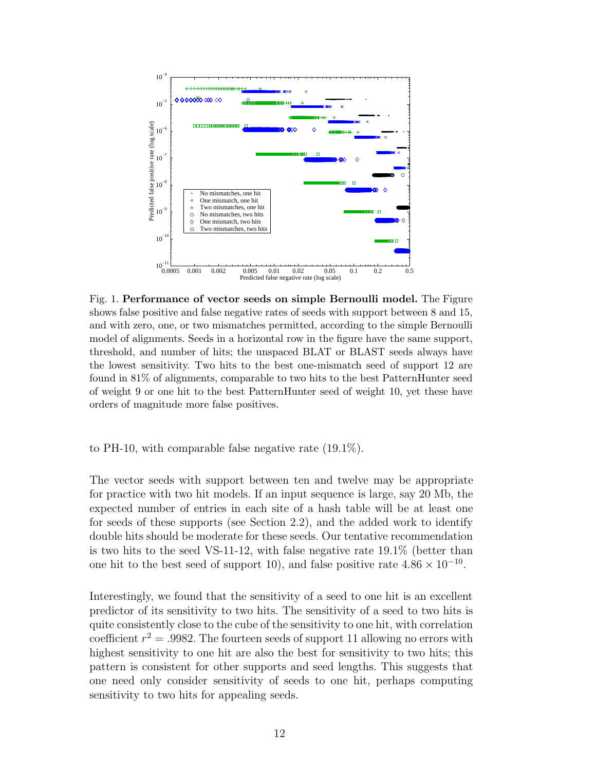

Fig. 1. Performance of vector seeds on simple Bernoulli model. The Figure shows false positive and false negative rates of seeds with support between 8 and 15, and with zero, one, or two mismatches permitted, according to the simple Bernoulli model of alignments. Seeds in a horizontal row in the figure have the same support, threshold, and number of hits; the unspaced BLAT or BLAST seeds always have the lowest sensitivity. Two hits to the best one-mismatch seed of support 12 are found in 81% of alignments, comparable to two hits to the best PatternHunter seed of weight 9 or one hit to the best PatternHunter seed of weight 10, yet these have orders of magnitude more false positives.

to PH-10, with comparable false negative rate (19.1%).

The vector seeds with support between ten and twelve may be appropriate for practice with two hit models. If an input sequence is large, say 20 Mb, the expected number of entries in each site of a hash table will be at least one for seeds of these supports (see Section 2.2), and the added work to identify double hits should be moderate for these seeds. Our tentative recommendation is two hits to the seed VS-11-12, with false negative rate 19.1% (better than one hit to the best seed of support 10), and false positive rate  $4.86 \times 10^{-10}$ .

Interestingly, we found that the sensitivity of a seed to one hit is an excellent predictor of its sensitivity to two hits. The sensitivity of a seed to two hits is quite consistently close to the cube of the sensitivity to one hit, with correlation coefficient  $r^2 = .9982$ . The fourteen seeds of support 11 allowing no errors with highest sensitivity to one hit are also the best for sensitivity to two hits; this pattern is consistent for other supports and seed lengths. This suggests that one need only consider sensitivity of seeds to one hit, perhaps computing sensitivity to two hits for appealing seeds.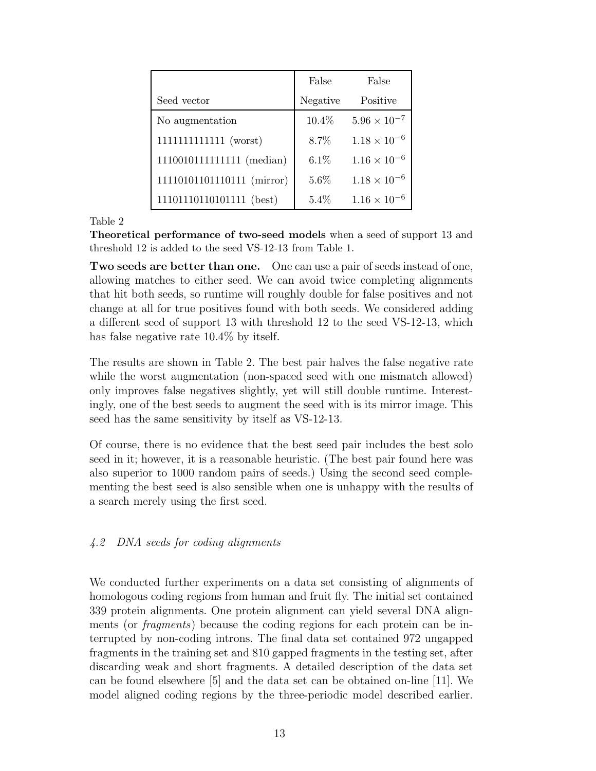|                            | False    | False                 |
|----------------------------|----------|-----------------------|
| Seed vector                | Negative | Positive              |
| No augmentation            | 10.4%    | $5.96 \times 10^{-7}$ |
| 1111111111111111 (worst)   | 8.7%     | $1.18 \times 10^{-6}$ |
| 11100101111111111 (median) | 6.1%     | $1.16 \times 10^{-6}$ |
| 11110101101110111 (mirror) | 5.6%     | $1.18 \times 10^{-6}$ |
| 11101110110101111 (best)   | 5.4%     | $1.16 \times 10^{-6}$ |

Theoretical performance of two-seed models when a seed of support 13 and threshold 12 is added to the seed VS-12-13 from Table 1.

Two seeds are better than one. One can use a pair of seeds instead of one, allowing matches to either seed. We can avoid twice completing alignments that hit both seeds, so runtime will roughly double for false positives and not change at all for true positives found with both seeds. We considered adding a different seed of support 13 with threshold 12 to the seed VS-12-13, which has false negative rate 10.4% by itself.

The results are shown in Table 2. The best pair halves the false negative rate while the worst augmentation (non-spaced seed with one mismatch allowed) only improves false negatives slightly, yet will still double runtime. Interestingly, one of the best seeds to augment the seed with is its mirror image. This seed has the same sensitivity by itself as VS-12-13.

Of course, there is no evidence that the best seed pair includes the best solo seed in it; however, it is a reasonable heuristic. (The best pair found here was also superior to 1000 random pairs of seeds.) Using the second seed complementing the best seed is also sensible when one is unhappy with the results of a search merely using the first seed.

# 4.2 DNA seeds for coding alignments

We conducted further experiments on a data set consisting of alignments of homologous coding regions from human and fruit fly. The initial set contained 339 protein alignments. One protein alignment can yield several DNA alignments (or *fragments*) because the coding regions for each protein can be interrupted by non-coding introns. The final data set contained 972 ungapped fragments in the training set and 810 gapped fragments in the testing set, after discarding weak and short fragments. A detailed description of the data set can be found elsewhere [5] and the data set can be obtained on-line [11]. We model aligned coding regions by the three-periodic model described earlier.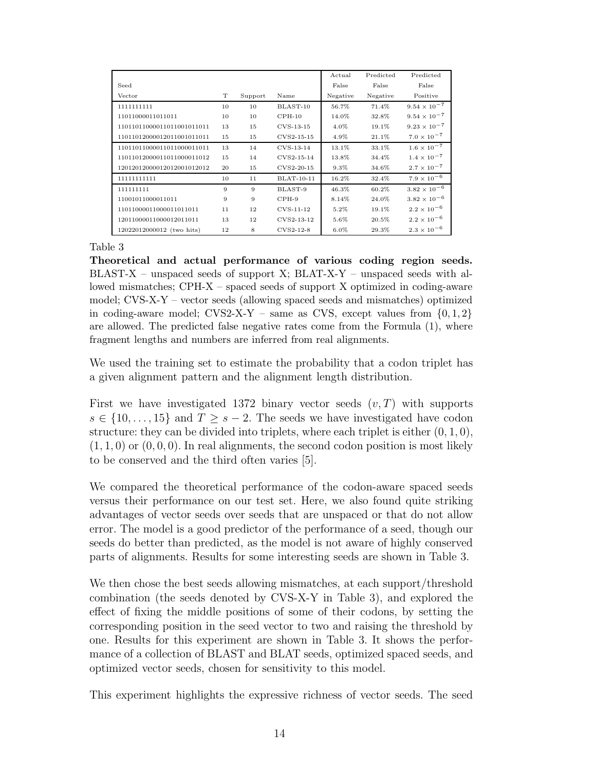|                            |    |         |                   | Actual   | Predicted | Predicted             |
|----------------------------|----|---------|-------------------|----------|-----------|-----------------------|
| Seed                       |    |         |                   | False    | False     | False                 |
| Vector                     | T  | Support | Name              | Negative | Negative  | Positive              |
| 1111111111                 | 10 | 10      | BLAST-10          | 56.7%    | 71.4%     | $9.54 \times 10^{-7}$ |
| 11011000011011011          | 10 | 10      | $CPH-10$          | 14.0%    | 32.8%     | $9.54 \times 10^{-7}$ |
| 11011011000011011001011011 | 13 | 15      | $CVS-13-15$       | 4.0%     | 19.1%     | $9.23 \times 10^{-7}$ |
| 11011012000012011001011011 | 15 | 15      | CVS2-15-15        | 4.9%     | 21.1%     | $7.0 \times 10^{-7}$  |
| 11011011000011011000011011 | 13 | 14      | $CVS-13-14$       | 13.1%    | 33.1%     | $1.6 \times 10^{-7}$  |
| 11011012000011011000011012 | 15 | 14      | CVS2-15-14        | 13.8%    | 34.4%     | $1.4 \times 10^{-7}$  |
| 12012012000012012001012012 | 20 | 15      | CVS2-20-15        | 9.3%     | 34.6%     | $2.7 \times 10^{-7}$  |
| 11111111111                | 10 | 11      | <b>BLAT-10-11</b> | 16.2%    | 32.4%     | $7.9 \times 10^{-6}$  |
| 111111111                  | 9  | 9       | BLAST-9           | 46.3%    | 60.2%     | $3.82\times10^{-6}$   |
| 11001011000011011          | 9  | 9       | $CPH-9$           | 8.14%    | 24.0%     | $3.82 \times 10^{-6}$ |
| 11011000011000011011011    | 11 | 12      | $CVS-11-12$       | 5.2%     | 19.1%     | $2.2 \times 10^{-6}$  |
| 12011000011000012011011    | 13 | 12      | CVS2-13-12        | 5.6%     | 20.5%     | $2.2 \times 10^{-6}$  |
| 12022012000012 (two hits)  | 12 | 8       | CVS2-12-8         | $6.0\%$  | 29.3%     | $2.3 \times 10^{-6}$  |

Theoretical and actual performance of various coding region seeds.  $BLAST-X$  – unspaced seeds of support X;  $BLAT-X-Y$  – unspaced seeds with allowed mismatches; CPH-X – spaced seeds of support X optimized in coding-aware model; CVS-X-Y – vector seeds (allowing spaced seeds and mismatches) optimized in coding-aware model;  $CVS2-X-Y$  – same as CVS, except values from  $\{0, 1, 2\}$ are allowed. The predicted false negative rates come from the Formula (1), where fragment lengths and numbers are inferred from real alignments.

We used the training set to estimate the probability that a codon triplet has a given alignment pattern and the alignment length distribution.

First we have investigated 1372 binary vector seeds  $(v, T)$  with supports  $s \in \{10, \ldots, 15\}$  and  $T > s - 2$ . The seeds we have investigated have codon structure: they can be divided into triplets, where each triplet is either  $(0, 1, 0)$ ,  $(1, 1, 0)$  or  $(0, 0, 0)$ . In real alignments, the second codon position is most likely to be conserved and the third often varies [5].

We compared the theoretical performance of the codon-aware spaced seeds versus their performance on our test set. Here, we also found quite striking advantages of vector seeds over seeds that are unspaced or that do not allow error. The model is a good predictor of the performance of a seed, though our seeds do better than predicted, as the model is not aware of highly conserved parts of alignments. Results for some interesting seeds are shown in Table 3.

We then chose the best seeds allowing mismatches, at each support/threshold combination (the seeds denoted by CVS-X-Y in Table 3), and explored the effect of fixing the middle positions of some of their codons, by setting the corresponding position in the seed vector to two and raising the threshold by one. Results for this experiment are shown in Table 3. It shows the performance of a collection of BLAST and BLAT seeds, optimized spaced seeds, and optimized vector seeds, chosen for sensitivity to this model.

This experiment highlights the expressive richness of vector seeds. The seed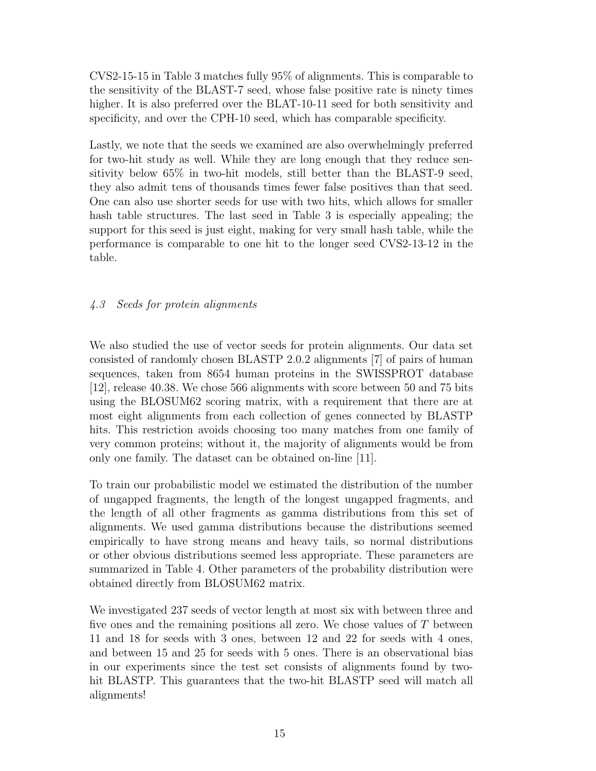CVS2-15-15 in Table 3 matches fully 95% of alignments. This is comparable to the sensitivity of the BLAST-7 seed, whose false positive rate is ninety times higher. It is also preferred over the BLAT-10-11 seed for both sensitivity and specificity, and over the CPH-10 seed, which has comparable specificity.

Lastly, we note that the seeds we examined are also overwhelmingly preferred for two-hit study as well. While they are long enough that they reduce sensitivity below 65% in two-hit models, still better than the BLAST-9 seed, they also admit tens of thousands times fewer false positives than that seed. One can also use shorter seeds for use with two hits, which allows for smaller hash table structures. The last seed in Table 3 is especially appealing; the support for this seed is just eight, making for very small hash table, while the performance is comparable to one hit to the longer seed CVS2-13-12 in the table.

# 4.3 Seeds for protein alignments

We also studied the use of vector seeds for protein alignments. Our data set consisted of randomly chosen BLASTP 2.0.2 alignments [7] of pairs of human sequences, taken from 8654 human proteins in the SWISSPROT database [12], release 40.38. We chose 566 alignments with score between 50 and 75 bits using the BLOSUM62 scoring matrix, with a requirement that there are at most eight alignments from each collection of genes connected by BLASTP hits. This restriction avoids choosing too many matches from one family of very common proteins; without it, the majority of alignments would be from only one family. The dataset can be obtained on-line [11].

To train our probabilistic model we estimated the distribution of the number of ungapped fragments, the length of the longest ungapped fragments, and the length of all other fragments as gamma distributions from this set of alignments. We used gamma distributions because the distributions seemed empirically to have strong means and heavy tails, so normal distributions or other obvious distributions seemed less appropriate. These parameters are summarized in Table 4. Other parameters of the probability distribution were obtained directly from BLOSUM62 matrix.

We investigated 237 seeds of vector length at most six with between three and five ones and the remaining positions all zero. We chose values of  $T$  between 11 and 18 for seeds with 3 ones, between 12 and 22 for seeds with 4 ones, and between 15 and 25 for seeds with 5 ones. There is an observational bias in our experiments since the test set consists of alignments found by twohit BLASTP. This guarantees that the two-hit BLASTP seed will match all alignments!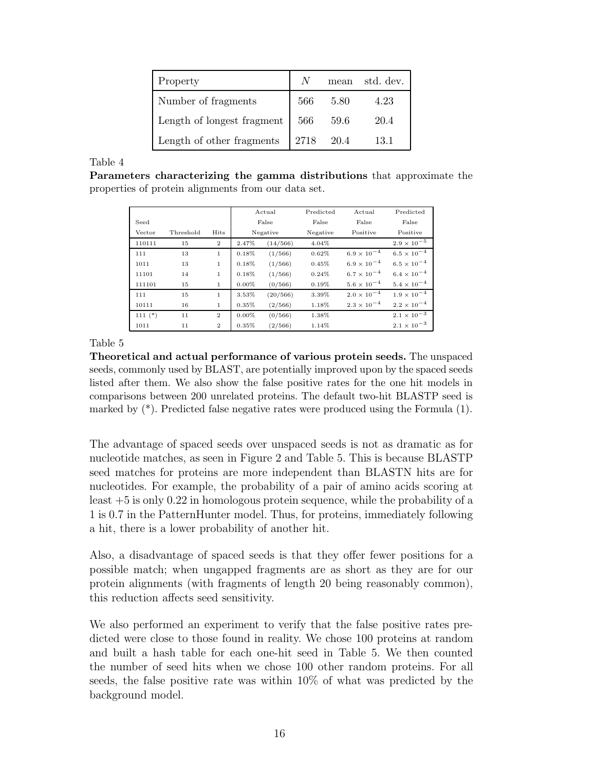| Property                   | N    | mean | std. dev. |
|----------------------------|------|------|-----------|
| Number of fragments        | 566  | 5.80 | 4.23      |
| Length of longest fragment | 566  | 59.6 | 20.4      |
| Length of other fragments  | 2718 | 20.4 | 13.1      |

Parameters characterizing the gamma distributions that approximate the properties of protein alignments from our data set.

|             |           |                | Actual   |          | Predicted | Actual               | Predicted            |
|-------------|-----------|----------------|----------|----------|-----------|----------------------|----------------------|
| Seed        |           |                | False    |          | False     | False                | False                |
| Vector      | Threshold | Hits           | Negative |          | Negative  | Positive             | Positive             |
| 110111      | 15        | $\overline{2}$ | 2.47%    | (14/566) | 4.04%     |                      | $2.9 \times 10^{-5}$ |
| 111         | 13        | $\mathbf{1}$   | 0.18%    | (1/566)  | 0.62%     | $6.9 \times 10^{-4}$ | $6.5 \times 10^{-4}$ |
| 1011        | 13        | $\mathbf{1}$   | 0.18%    | (1/566)  | 0.45%     | $6.9 \times 10^{-4}$ | $6.5 \times 10^{-4}$ |
| 11101       | 14        | $\mathbf{1}$   | 0.18%    | (1/566)  | 0.24%     | $6.7 \times 10^{-4}$ | $6.4 \times 10^{-4}$ |
| 111101      | 15        | $\mathbf{1}$   | $0.00\%$ | (0/566)  | 0.19%     | $5.6 \times 10^{-4}$ | $5.4 \times 10^{-4}$ |
| 111         | 15        | $\mathbf{1}$   | 3.53%    | (20/566) | 3.39%     | $2.0 \times 10^{-4}$ | $1.9 \times 10^{-4}$ |
| 10111       | 16        | $\mathbf{1}$   | $0.35\%$ | (2/566)  | 1.18%     | $2.3 \times 10^{-4}$ | $2.2 \times 10^{-4}$ |
| $111$ $(*)$ | 11        | $\overline{2}$ | $0.00\%$ | (0/566)  | 1.38%     |                      | $2.1\times10^{-3}$   |
| 1011        | 11        | $\overline{2}$ | 0.35%    | (2/566)  | 1.14%     |                      | $2.1 \times 10^{-3}$ |

Table 5

Theoretical and actual performance of various protein seeds. The unspaced seeds, commonly used by BLAST, are potentially improved upon by the spaced seeds listed after them. We also show the false positive rates for the one hit models in comparisons between 200 unrelated proteins. The default two-hit BLASTP seed is marked by  $(*)$ . Predicted false negative rates were produced using the Formula  $(1)$ .

The advantage of spaced seeds over unspaced seeds is not as dramatic as for nucleotide matches, as seen in Figure 2 and Table 5. This is because BLASTP seed matches for proteins are more independent than BLASTN hits are for nucleotides. For example, the probability of a pair of amino acids scoring at least +5 is only 0.22 in homologous protein sequence, while the probability of a 1 is 0.7 in the PatternHunter model. Thus, for proteins, immediately following a hit, there is a lower probability of another hit.

Also, a disadvantage of spaced seeds is that they offer fewer positions for a possible match; when ungapped fragments are as short as they are for our protein alignments (with fragments of length 20 being reasonably common), this reduction affects seed sensitivity.

We also performed an experiment to verify that the false positive rates predicted were close to those found in reality. We chose 100 proteins at random and built a hash table for each one-hit seed in Table 5. We then counted the number of seed hits when we chose 100 other random proteins. For all seeds, the false positive rate was within 10% of what was predicted by the background model.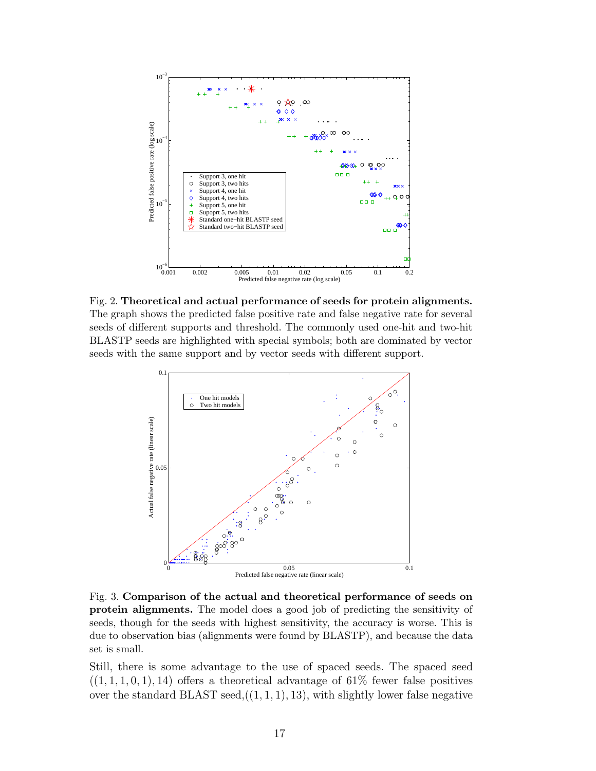

Fig. 2. Theoretical and actual performance of seeds for protein alignments. The graph shows the predicted false positive rate and false negative rate for several seeds of different supports and threshold. The commonly used one-hit and two-hit BLASTP seeds are highlighted with special symbols; both are dominated by vector seeds with the same support and by vector seeds with different support.



Fig. 3. Comparison of the actual and theoretical performance of seeds on protein alignments. The model does a good job of predicting the sensitivity of seeds, though for the seeds with highest sensitivity, the accuracy is worse. This is due to observation bias (alignments were found by BLASTP), and because the data set is small.

Still, there is some advantage to the use of spaced seeds. The spaced seed  $((1, 1, 1, 0, 1), 14)$  offers a theoretical advantage of 61% fewer false positives over the standard BLAST seed, $((1, 1, 1), 13)$ , with slightly lower false negative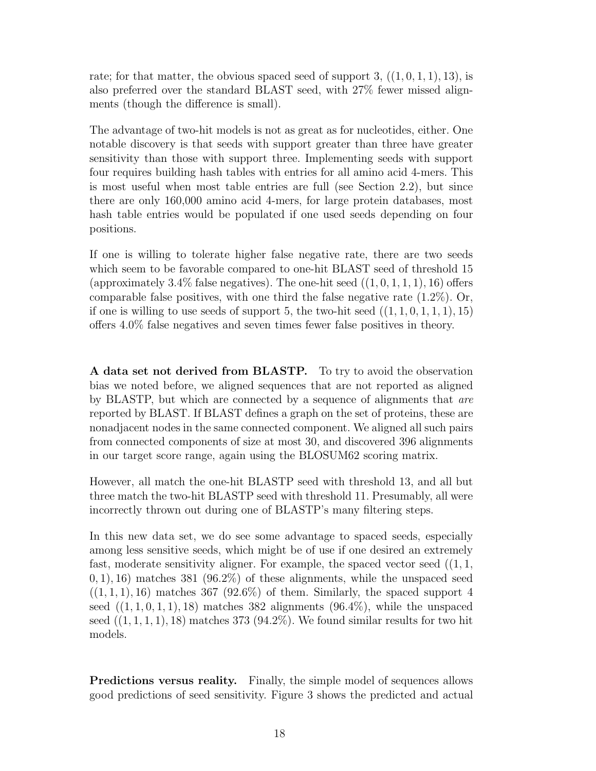rate; for that matter, the obvious spaced seed of support  $3, ((1, 0, 1, 1), 13)$ , is also preferred over the standard BLAST seed, with 27% fewer missed alignments (though the difference is small).

The advantage of two-hit models is not as great as for nucleotides, either. One notable discovery is that seeds with support greater than three have greater sensitivity than those with support three. Implementing seeds with support four requires building hash tables with entries for all amino acid 4-mers. This is most useful when most table entries are full (see Section 2.2), but since there are only 160,000 amino acid 4-mers, for large protein databases, most hash table entries would be populated if one used seeds depending on four positions.

If one is willing to tolerate higher false negative rate, there are two seeds which seem to be favorable compared to one-hit BLAST seed of threshold 15 (approximately 3.4% false negatives). The one-hit seed  $((1, 0, 1, 1, 1), 16)$  offers comparable false positives, with one third the false negative rate  $(1.2\%)$ . Or, if one is willing to use seeds of support 5, the two-hit seed  $((1, 1, 0, 1, 1, 1), 15)$ offers 4.0% false negatives and seven times fewer false positives in theory.

A data set not derived from BLASTP. To try to avoid the observation bias we noted before, we aligned sequences that are not reported as aligned by BLASTP, but which are connected by a sequence of alignments that are reported by BLAST. If BLAST defines a graph on the set of proteins, these are nonadjacent nodes in the same connected component. We aligned all such pairs from connected components of size at most 30, and discovered 396 alignments in our target score range, again using the BLOSUM62 scoring matrix.

However, all match the one-hit BLASTP seed with threshold 13, and all but three match the two-hit BLASTP seed with threshold 11. Presumably, all were incorrectly thrown out during one of BLASTP's many filtering steps.

In this new data set, we do see some advantage to spaced seeds, especially among less sensitive seeds, which might be of use if one desired an extremely fast, moderate sensitivity aligner. For example, the spaced vector seed  $((1, 1,$  $(0, 1)$ , 16) matches 381 (96.2%) of these alignments, while the unspaced seed  $((1, 1, 1), 16)$  matches 367 (92.6%) of them. Similarly, the spaced support 4 seed  $((1, 1, 0, 1, 1), 18)$  matches 382 alignments  $(96.4\%)$ , while the unspaced seed  $((1, 1, 1, 1), 18)$  matches 373 (94.2%). We found similar results for two hit models.

Predictions versus reality. Finally, the simple model of sequences allows good predictions of seed sensitivity. Figure 3 shows the predicted and actual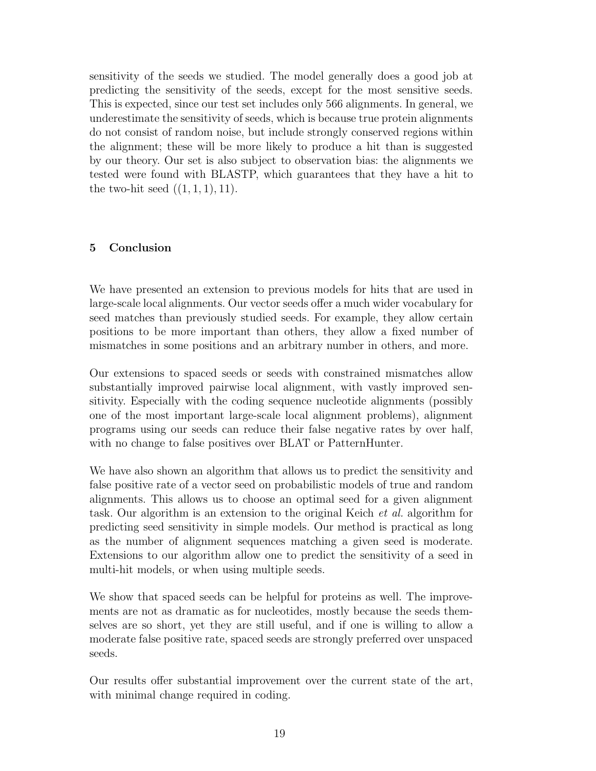sensitivity of the seeds we studied. The model generally does a good job at predicting the sensitivity of the seeds, except for the most sensitive seeds. This is expected, since our test set includes only 566 alignments. In general, we underestimate the sensitivity of seeds, which is because true protein alignments do not consist of random noise, but include strongly conserved regions within the alignment; these will be more likely to produce a hit than is suggested by our theory. Our set is also subject to observation bias: the alignments we tested were found with BLASTP, which guarantees that they have a hit to the two-hit seed  $((1, 1, 1), 11)$ .

# 5 Conclusion

We have presented an extension to previous models for hits that are used in large-scale local alignments. Our vector seeds offer a much wider vocabulary for seed matches than previously studied seeds. For example, they allow certain positions to be more important than others, they allow a fixed number of mismatches in some positions and an arbitrary number in others, and more.

Our extensions to spaced seeds or seeds with constrained mismatches allow substantially improved pairwise local alignment, with vastly improved sensitivity. Especially with the coding sequence nucleotide alignments (possibly one of the most important large-scale local alignment problems), alignment programs using our seeds can reduce their false negative rates by over half, with no change to false positives over BLAT or PatternHunter.

We have also shown an algorithm that allows us to predict the sensitivity and false positive rate of a vector seed on probabilistic models of true and random alignments. This allows us to choose an optimal seed for a given alignment task. Our algorithm is an extension to the original Keich et al. algorithm for predicting seed sensitivity in simple models. Our method is practical as long as the number of alignment sequences matching a given seed is moderate. Extensions to our algorithm allow one to predict the sensitivity of a seed in multi-hit models, or when using multiple seeds.

We show that spaced seeds can be helpful for proteins as well. The improvements are not as dramatic as for nucleotides, mostly because the seeds themselves are so short, yet they are still useful, and if one is willing to allow a moderate false positive rate, spaced seeds are strongly preferred over unspaced seeds.

Our results offer substantial improvement over the current state of the art, with minimal change required in coding.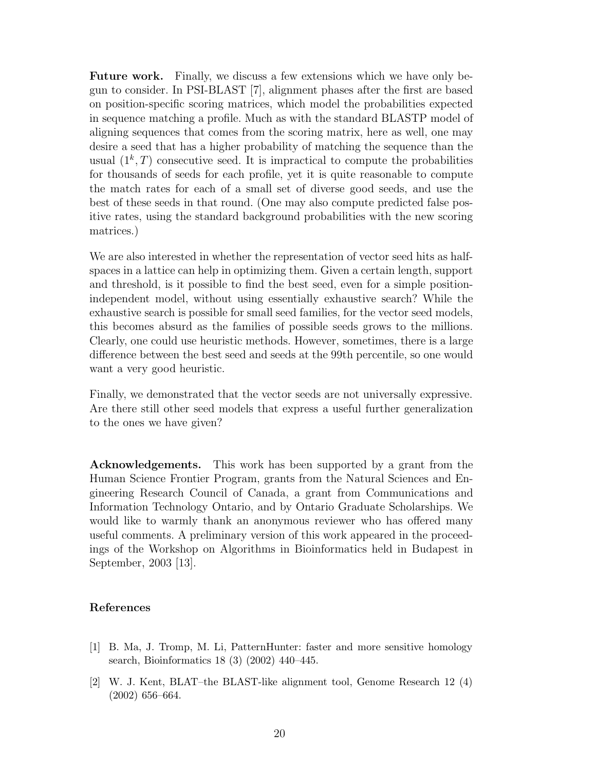Future work. Finally, we discuss a few extensions which we have only begun to consider. In PSI-BLAST [7], alignment phases after the first are based on position-specific scoring matrices, which model the probabilities expected in sequence matching a profile. Much as with the standard BLASTP model of aligning sequences that comes from the scoring matrix, here as well, one may desire a seed that has a higher probability of matching the sequence than the usual  $(1^k, T)$  consecutive seed. It is impractical to compute the probabilities for thousands of seeds for each profile, yet it is quite reasonable to compute the match rates for each of a small set of diverse good seeds, and use the best of these seeds in that round. (One may also compute predicted false positive rates, using the standard background probabilities with the new scoring matrices.)

We are also interested in whether the representation of vector seed hits as halfspaces in a lattice can help in optimizing them. Given a certain length, support and threshold, is it possible to find the best seed, even for a simple positionindependent model, without using essentially exhaustive search? While the exhaustive search is possible for small seed families, for the vector seed models, this becomes absurd as the families of possible seeds grows to the millions. Clearly, one could use heuristic methods. However, sometimes, there is a large difference between the best seed and seeds at the 99th percentile, so one would want a very good heuristic.

Finally, we demonstrated that the vector seeds are not universally expressive. Are there still other seed models that express a useful further generalization to the ones we have given?

Acknowledgements. This work has been supported by a grant from the Human Science Frontier Program, grants from the Natural Sciences and Engineering Research Council of Canada, a grant from Communications and Information Technology Ontario, and by Ontario Graduate Scholarships. We would like to warmly thank an anonymous reviewer who has offered many useful comments. A preliminary version of this work appeared in the proceedings of the Workshop on Algorithms in Bioinformatics held in Budapest in September, 2003 [13].

#### References

- [1] B. Ma, J. Tromp, M. Li, PatternHunter: faster and more sensitive homology search, Bioinformatics 18 (3) (2002) 440–445.
- [2] W. J. Kent, BLAT–the BLAST-like alignment tool, Genome Research 12 (4) (2002) 656–664.